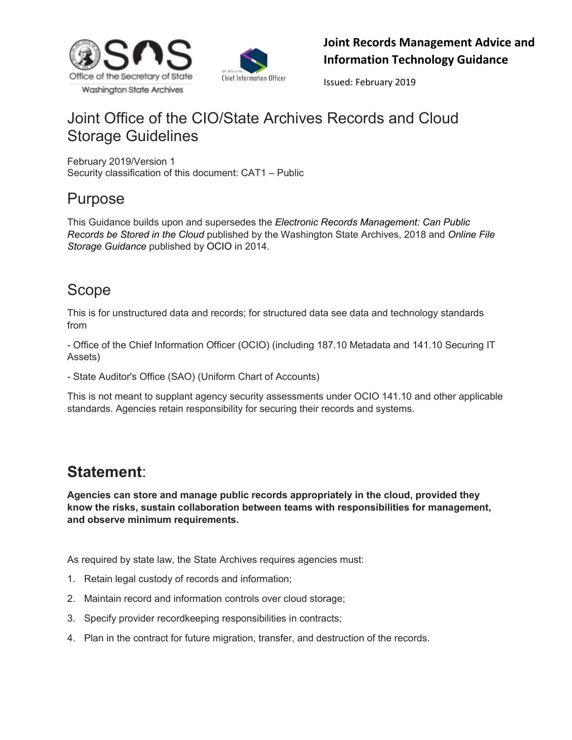



Issued: February 2019

# Joint Office of the CIO/State Archives Records and Cloud Storage Guidelines

February 2019/Version 1 Security classification of this document: CAT1 – Public

## Purpose

This Guidance builds upon and supersedes the *Electronic Records Management: Can Public Records be Stored in the Cloud* published by the Washington State Archives, 2018 and *Online [File](https://ocio.wa.gov/policy/online-file-storage-guidance) [Storage](https://ocio.wa.gov/policy/online-file-storage-guidance) [Guidance](https://ocio.wa.gov/policy/online-file-storage-guidance)* published by OCIO in 2014.

# Scope

This is for unstructured data and records; for structured data see data and technology standards from

- Office of the Chief Information Officer (OCIO) (including 187.10 Metadata and 141.10 Securing IT Assets)

- State Auditor's Office (SAO) (Uniform Chart of Accounts)

This is not meant to supplant agency security assessments under OCIO 141.10 and other applicable standards. Agencies retain responsibility for securing their records and systems.

# **Statement**:

**Agencies can store and manage public records appropriately in the cloud, provided they know the risks, sustain collaboration between teams with responsibilities for management, and observe minimum requirements.**

As required by state law, the State Archives requires agencies must:

- 1. Retain legal custody of records and information;
- 2. Maintain record and information controls over cloud storage;
- 3. Specify provider recordkeeping responsibilities in contracts;
- 4. Plan in the contract for future migration, transfer, and destruction of the records.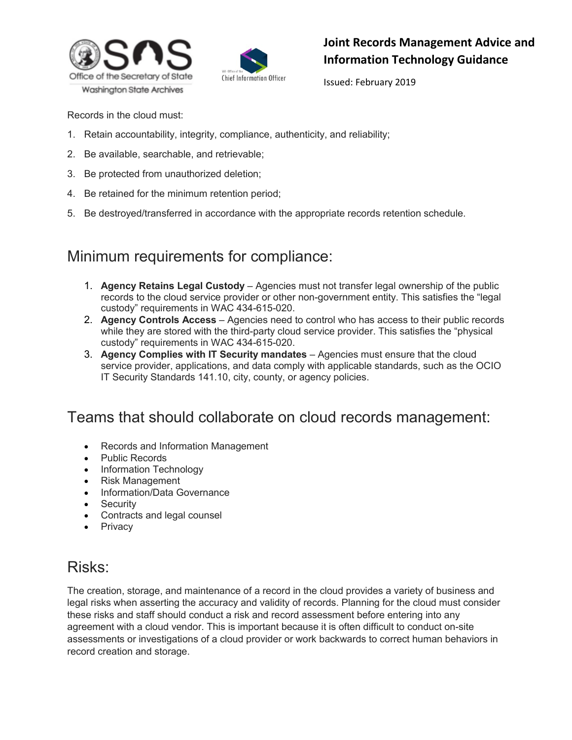



Issued: February 2019

Records in the cloud must:

- 1. Retain accountability, integrity, compliance, authenticity, and reliability;
- 2. Be available, searchable, and retrievable;
- 3. Be protected from unauthorized deletion;
- 4. Be retained for the minimum retention period;
- 5. Be destroyed/transferred in accordance with the appropriate records retention schedule.

## Minimum requirements for compliance:

- 1. **Agency Retains Legal Custody** Agencies must not transfer legal ownership of the public records to the cloud service provider or other non-government entity. This satisfies the "legal custody" requirements in WAC 434-615-020.
- 2. **Agency Controls Access** Agencies need to control who has access to their public records while they are stored with the third-party cloud service provider. This satisfies the "physical custody" requirements in WAC 434-615-020.
- 3. **Agency Complies with IT Security mandates** Agencies must ensure that the cloud service provider, applications, and data comply with applicable standards, such as the OCIO IT Security Standards 141.10, city, county, or agency policies.

## Teams that should collaborate on cloud records management:

- Records and Information Management
- Public Records
- Information Technology
- Risk Management
- Information/Data Governance
- Security
- Contracts and legal counsel
- Privacy

## Risks:

The creation, storage, and maintenance of a record in the cloud provides a variety of business and legal risks when asserting the accuracy and validity of records. Planning for the cloud must consider these risks and staff should conduct a risk and record assessment before entering into any agreement with a cloud vendor. This is important because it is often difficult to conduct on-site assessments or investigations of a cloud provider or work backwards to correct human behaviors in record creation and storage.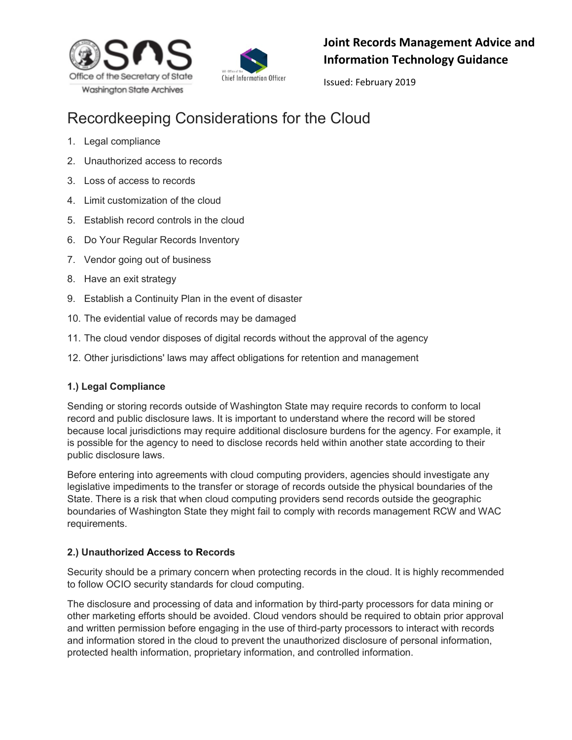



Issued: February 2019

# Recordkeeping Considerations for the Cloud

- 1. Legal compliance
- 2. Unauthorized access to records
- 3. Loss of access to records
- 4. Limit customization of the cloud
- 5. Establish record controls in the cloud
- 6. Do Your Regular Records Inventory
- 7. Vendor going out of business
- 8. Have an exit strategy
- 9. Establish a Continuity Plan in the event of disaster
- 10. The evidential value of records may be damaged
- 11. The cloud vendor disposes of digital records without the approval of the agency
- 12. Other jurisdictions' laws may affect obligations for retention and management

### **1.) Legal Compliance**

Sending or storing records outside of Washington State may require records to conform to local record and public disclosure laws. It is important to understand where the record will be stored because local jurisdictions may require additional disclosure burdens for the agency. For example, it is possible for the agency to need to disclose records held within another state according to their public disclosure laws.

Before entering into agreements with cloud computing providers, agencies should investigate any legislative impediments to the transfer or storage of records outside the physical boundaries of the State. There is a risk that when cloud computing providers send records outside the geographic boundaries of Washington State they might fail to comply with records management RCW and WAC requirements.

### **2.) Unauthorized Access to Records**

Security should be a primary concern when protecting records in the cloud. It is highly recommended to follow OCIO security standards for cloud computing.

The disclosure and processing of data and information by third-party processors for data mining or other marketing efforts should be avoided. Cloud vendors should be required to obtain prior approval and written permission before engaging in the use of third-party processors to interact with records and information stored in the cloud to prevent the unauthorized disclosure of personal information, protected health information, proprietary information, and controlled information.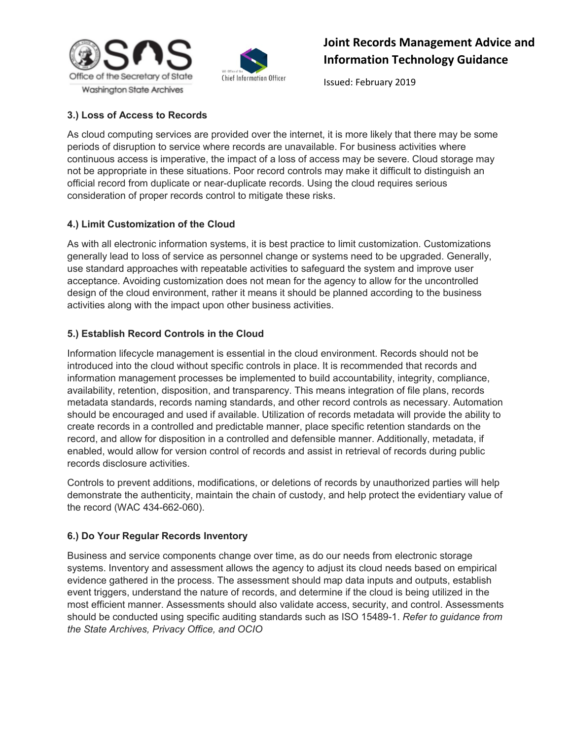



Issued: February 2019

### **3.) Loss of Access to Records**

As cloud computing services are provided over the internet, it is more likely that there may be some periods of disruption to service where records are unavailable. For business activities where continuous access is imperative, the impact of a loss of access may be severe. Cloud storage may not be appropriate in these situations. Poor record controls may make it difficult to distinguish an official record from duplicate or near-duplicate records. Using the cloud requires serious consideration of proper records control to mitigate these risks.

#### **4.) Limit Customization of the Cloud**

As with all electronic information systems, it is best practice to limit customization. Customizations generally lead to loss of service as personnel change or systems need to be upgraded. Generally, use standard approaches with repeatable activities to safeguard the system and improve user acceptance. Avoiding customization does not mean for the agency to allow for the uncontrolled design of the cloud environment, rather it means it should be planned according to the business activities along with the impact upon other business activities.

#### **5.) Establish Record Controls in the Cloud**

Information lifecycle management is essential in the cloud environment. Records should not be introduced into the cloud without specific controls in place. It is recommended that records and information management processes be implemented to build accountability, integrity, compliance, availability, retention, disposition, and transparency. This means integration of file plans, records metadata standards, records naming standards, and other record controls as necessary. Automation should be encouraged and used if available. Utilization of records metadata will provide the ability to create records in a controlled and predictable manner, place specific retention standards on the record, and allow for disposition in a controlled and defensible manner. Additionally, metadata, if enabled, would allow for version control of records and assist in retrieval of records during public records disclosure activities.

Controls to prevent additions, modifications, or deletions of records by unauthorized parties will help demonstrate the authenticity, maintain the chain of custody, and help protect the evidentiary value of the record (WAC 434-662-060).

#### **6.) Do Your Regular Records Inventory**

Business and service components change over time, as do our needs from electronic storage systems. Inventory and assessment allows the agency to adjust its cloud needs based on empirical evidence gathered in the process. The assessment should map data inputs and outputs, establish event triggers, understand the nature of records, and determine if the cloud is being utilized in the most efficient manner. Assessments should also validate access, security, and control. Assessments should be conducted using specific auditing standards such as ISO 15489-1. *Refer to guidance from the State Archives, Privacy Office, and OCIO*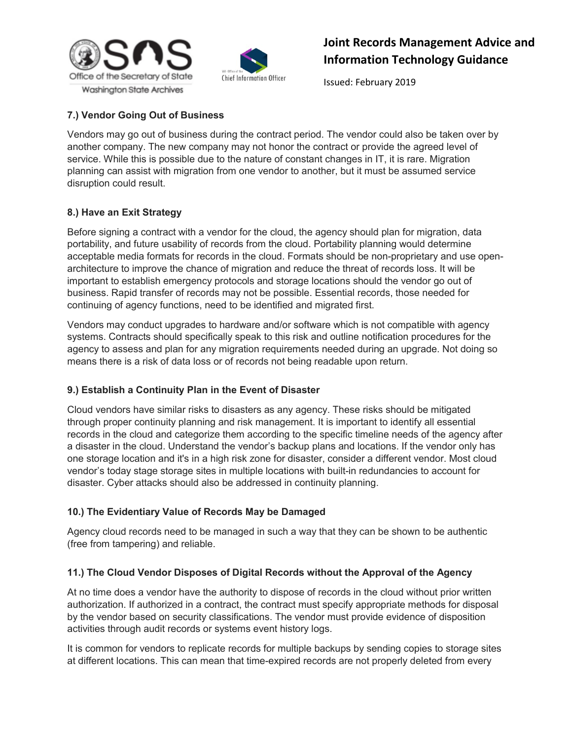



Issued: February 2019

### **7.) Vendor Going Out of Business**

Vendors may go out of business during the contract period. The vendor could also be taken over by another company. The new company may not honor the contract or provide the agreed level of service. While this is possible due to the nature of constant changes in IT, it is rare. Migration planning can assist with migration from one vendor to another, but it must be assumed service disruption could result.

#### **8.) Have an Exit Strategy**

Before signing a contract with a vendor for the cloud, the agency should plan for migration, data portability, and future usability of records from the cloud. Portability planning would determine acceptable media formats for records in the cloud. Formats should be non-proprietary and use openarchitecture to improve the chance of migration and reduce the threat of records loss. It will be important to establish emergency protocols and storage locations should the vendor go out of business. Rapid transfer of records may not be possible. Essential records, those needed for continuing of agency functions, need to be identified and migrated first.

Vendors may conduct upgrades to hardware and/or software which is not compatible with agency systems. Contracts should specifically speak to this risk and outline notification procedures for the agency to assess and plan for any migration requirements needed during an upgrade. Not doing so means there is a risk of data loss or of records not being readable upon return.

### **9.) Establish a Continuity Plan in the Event of Disaster**

Cloud vendors have similar risks to disasters as any agency. These risks should be mitigated through proper continuity planning and risk management. It is important to identify all essential records in the cloud and categorize them according to the specific timeline needs of the agency after a disaster in the cloud. Understand the vendor's backup plans and locations. If the vendor only has one storage location and it's in a high risk zone for disaster, consider a different vendor. Most cloud vendor's today stage storage sites in multiple locations with built-in redundancies to account for disaster. Cyber attacks should also be addressed in continuity planning.

#### **10.) The Evidentiary Value of Records May be Damaged**

Agency cloud records need to be managed in such a way that they can be shown to be authentic (free from tampering) and reliable.

#### **11.) The Cloud Vendor Disposes of Digital Records without the Approval of the Agency**

At no time does a vendor have the authority to dispose of records in the cloud without prior written authorization. If authorized in a contract, the contract must specify appropriate methods for disposal by the vendor based on security classifications. The vendor must provide evidence of disposition activities through audit records or systems event history logs.

It is common for vendors to replicate records for multiple backups by sending copies to storage sites at different locations. This can mean that time-expired records are not properly deleted from every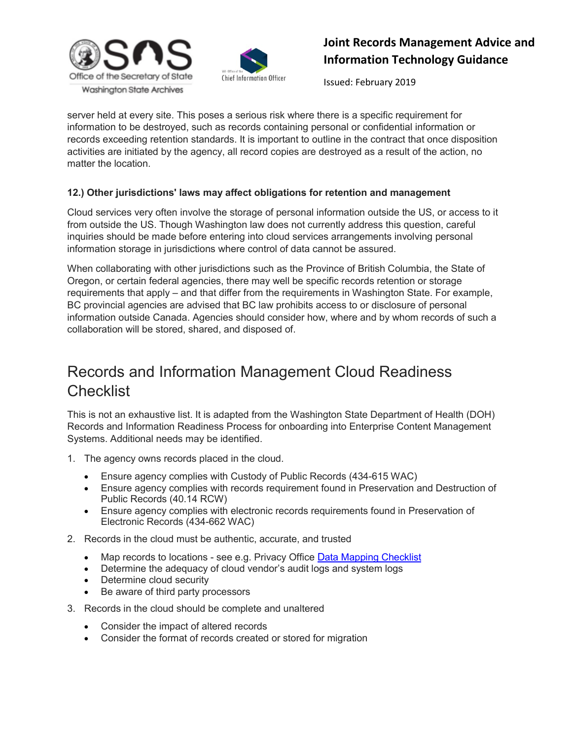



Issued: February 2019

server held at every site. This poses a serious risk where there is a specific requirement for information to be destroyed, such as records containing personal or confidential information or records exceeding retention standards. It is important to outline in the contract that once disposition activities are initiated by the agency, all record copies are destroyed as a result of the action, no matter the location.

### **12.) Other jurisdictions' laws may affect obligations for retention and management**

Cloud services very often involve the storage of personal information outside the US, or access to it from outside the US. Though Washington law does not currently address this question, careful inquiries should be made before entering into cloud services arrangements involving personal information storage in jurisdictions where control of data cannot be assured.

When collaborating with other jurisdictions such as the Province of British Columbia, the State of Oregon, or certain federal agencies, there may well be specific records retention or storage requirements that apply – and that differ from the requirements in Washington State. For example, BC provincial agencies are advised that BC law prohibits access to or disclosure of personal information outside Canada. Agencies should consider how, where and by whom records of such a collaboration will be stored, shared, and disposed of.

# Records and Information Management Cloud Readiness **Checklist**

This is not an exhaustive list. It is adapted from the Washington State Department of Health (DOH) Records and Information Readiness Process for onboarding into Enterprise Content Management Systems. Additional needs may be identified.

- 1. The agency owns records placed in the cloud.
	- Ensure agency complies with Custody of Public Records (434-615 WAC)
	- Ensure agency complies with records requirement found in Preservation and Destruction of Public Records (40.14 RCW)
	- Ensure agency complies with electronic records requirements found in Preservation of Electronic Records (434-662 WAC)
- 2. Records in the cloud must be authentic, accurate, and trusted
	- Map records to locations see e.g. Privacy Office D[ata](https://wachecklist.herokuapp.com/checklists/checklist/data-mapping) [Mapping](https://wachecklist.herokuapp.com/checklists/checklist/data-mapping) [Checklist](https://wachecklist.herokuapp.com/checklists/checklist/data-mapping)
	- Determine the adequacy of cloud vendor's audit logs and system logs
	- Determine cloud security
	- Be aware of third party processors
- 3. Records in the cloud should be complete and unaltered
	- Consider the impact of altered records
	- Consider the format of records created or stored for migration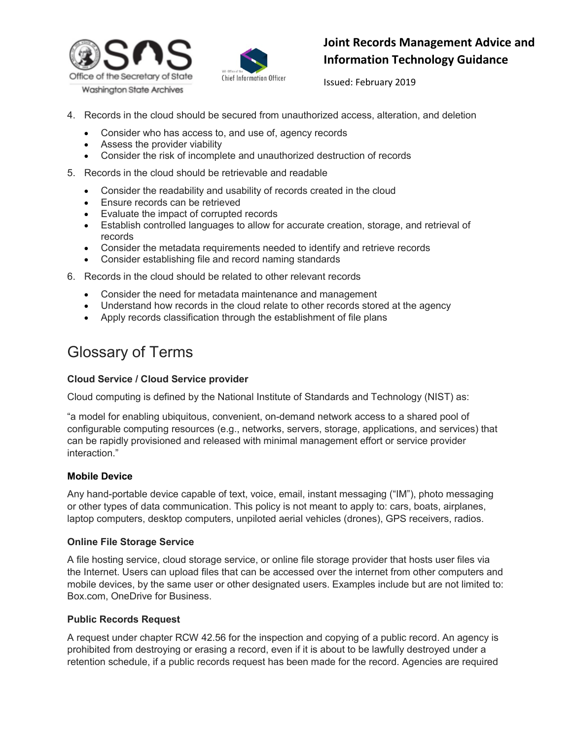



Issued: February 2019

- 4. Records in the cloud should be secured from unauthorized access, alteration, and deletion
	- Consider who has access to, and use of, agency records
	- Assess the provider viability
	- Consider the risk of incomplete and unauthorized destruction of records
- 5. Records in the cloud should be retrievable and readable
	- Consider the readability and usability of records created in the cloud
	- Ensure records can be retrieved
	- Evaluate the impact of corrupted records
	- Establish controlled languages to allow for accurate creation, storage, and retrieval of records
	- Consider the metadata requirements needed to identify and retrieve records
	- Consider establishing file and record naming standards
- 6. Records in the cloud should be related to other relevant records
	- Consider the need for metadata maintenance and management
	- Understand how records in the cloud relate to other records stored at the agency
	- Apply records classification through the establishment of file plans

# Glossary of Terms

#### **Cloud Service / Cloud Service provider**

Cloud computing is defined by the National Institute of Standards and Technology (NIST) as:

"a model for enabling ubiquitous, convenient, on-demand network access to a shared pool of configurable computing resources (e.g., networks, servers, storage, applications, and services) that can be rapidly provisioned and released with minimal management effort or service provider interaction."

#### **Mobile Device**

Any hand-portable device capable of text, voice, email, instant messaging ("IM"), photo messaging or other types of data communication. This policy is not meant to apply to: cars, boats, airplanes, laptop computers, desktop computers, unpiloted aerial vehicles (drones), GPS receivers, radios.

#### **Online File Storage Service**

A file hosting service, cloud storage service, or online file storage provider that hosts user files via the Internet. Users can upload files that can be accessed over the internet from other computers and mobile devices, by the same user or other designated users. Examples include but are not limited to: Box.com, OneDrive for Business.

#### **Public Records Request**

A request under chapter RCW 42.56 for the inspection and copying of a public record. An agency is prohibited from destroying or erasing a record, even if it is about to be lawfully destroyed under a retention schedule, if a public records request has been made for the record. Agencies are required